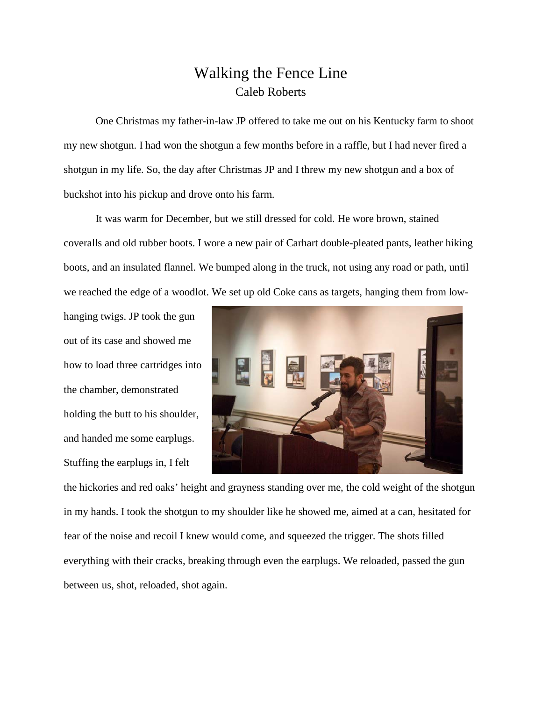## Walking the Fence Line Caleb Roberts

One Christmas my father-in-law JP offered to take me out on his Kentucky farm to shoot my new shotgun. I had won the shotgun a few months before in a raffle, but I had never fired a shotgun in my life. So, the day after Christmas JP and I threw my new shotgun and a box of buckshot into his pickup and drove onto his farm.

It was warm for December, but we still dressed for cold. He wore brown, stained coveralls and old rubber boots. I wore a new pair of Carhart double-pleated pants, leather hiking boots, and an insulated flannel. We bumped along in the truck, not using any road or path, until we reached the edge of a woodlot. We set up old Coke cans as targets, hanging them from low-

hanging twigs. JP took the gun out of its case and showed me how to load three cartridges into the chamber, demonstrated holding the butt to his shoulder, and handed me some earplugs. Stuffing the earplugs in, I felt



the hickories and red oaks' height and grayness standing over me, the cold weight of the shotgun in my hands. I took the shotgun to my shoulder like he showed me, aimed at a can, hesitated for fear of the noise and recoil I knew would come, and squeezed the trigger. The shots filled everything with their cracks, breaking through even the earplugs. We reloaded, passed the gun between us, shot, reloaded, shot again.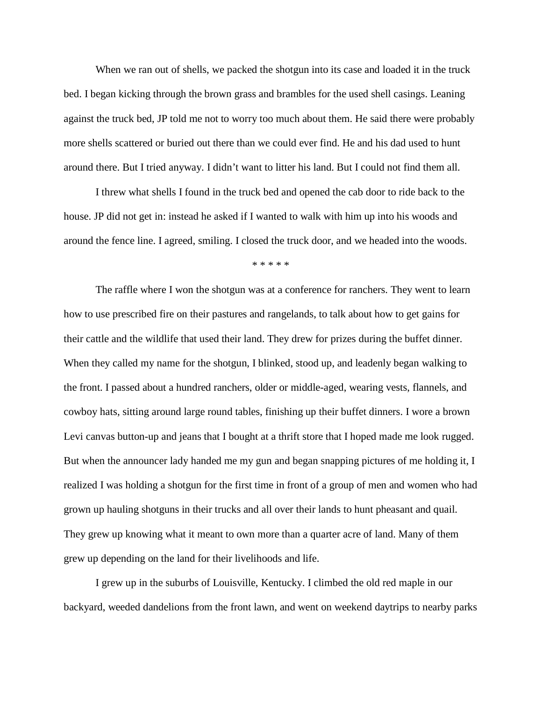When we ran out of shells, we packed the shotgun into its case and loaded it in the truck bed. I began kicking through the brown grass and brambles for the used shell casings. Leaning against the truck bed, JP told me not to worry too much about them. He said there were probably more shells scattered or buried out there than we could ever find. He and his dad used to hunt around there. But I tried anyway. I didn't want to litter his land. But I could not find them all.

I threw what shells I found in the truck bed and opened the cab door to ride back to the house. JP did not get in: instead he asked if I wanted to walk with him up into his woods and around the fence line. I agreed, smiling. I closed the truck door, and we headed into the woods.

\* \* \* \* \*

The raffle where I won the shotgun was at a conference for ranchers. They went to learn how to use prescribed fire on their pastures and rangelands, to talk about how to get gains for their cattle and the wildlife that used their land. They drew for prizes during the buffet dinner. When they called my name for the shotgun, I blinked, stood up, and leadenly began walking to the front. I passed about a hundred ranchers, older or middle-aged, wearing vests, flannels, and cowboy hats, sitting around large round tables, finishing up their buffet dinners. I wore a brown Levi canvas button-up and jeans that I bought at a thrift store that I hoped made me look rugged. But when the announcer lady handed me my gun and began snapping pictures of me holding it, I realized I was holding a shotgun for the first time in front of a group of men and women who had grown up hauling shotguns in their trucks and all over their lands to hunt pheasant and quail. They grew up knowing what it meant to own more than a quarter acre of land. Many of them grew up depending on the land for their livelihoods and life.

I grew up in the suburbs of Louisville, Kentucky. I climbed the old red maple in our backyard, weeded dandelions from the front lawn, and went on weekend daytrips to nearby parks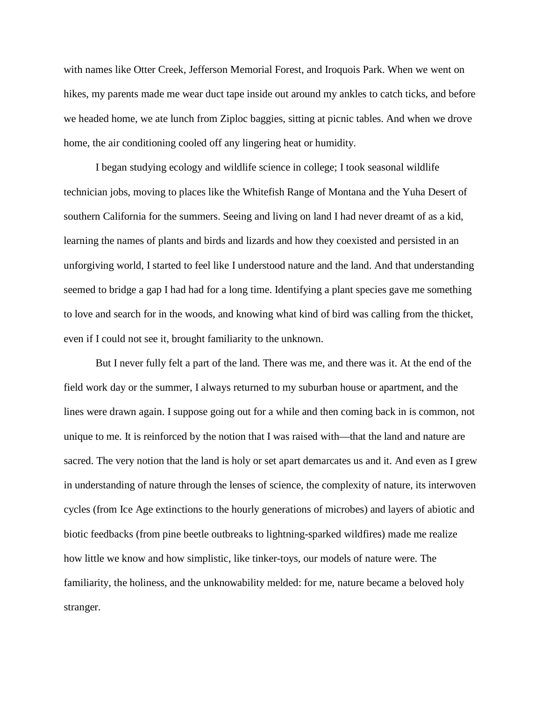with names like Otter Creek, Jefferson Memorial Forest, and Iroquois Park. When we went on hikes, my parents made me wear duct tape inside out around my ankles to catch ticks, and before we headed home, we ate lunch from Ziploc baggies, sitting at picnic tables. And when we drove home, the air conditioning cooled off any lingering heat or humidity.

I began studying ecology and wildlife science in college; I took seasonal wildlife technician jobs, moving to places like the Whitefish Range of Montana and the Yuha Desert of southern California for the summers. Seeing and living on land I had never dreamt of as a kid, learning the names of plants and birds and lizards and how they coexisted and persisted in an unforgiving world, I started to feel like I understood nature and the land. And that understanding seemed to bridge a gap I had had for a long time. Identifying a plant species gave me something to love and search for in the woods, and knowing what kind of bird was calling from the thicket, even if I could not see it, brought familiarity to the unknown.

But I never fully felt a part of the land. There was me, and there was it. At the end of the field work day or the summer, I always returned to my suburban house or apartment, and the lines were drawn again. I suppose going out for a while and then coming back in is common, not unique to me. It is reinforced by the notion that I was raised with—that the land and nature are sacred. The very notion that the land is holy or set apart demarcates us and it. And even as I grew in understanding of nature through the lenses of science, the complexity of nature, its interwoven cycles (from Ice Age extinctions to the hourly generations of microbes) and layers of abiotic and biotic feedbacks (from pine beetle outbreaks to lightning-sparked wildfires) made me realize how little we know and how simplistic, like tinker-toys, our models of nature were. The familiarity, the holiness, and the unknowability melded: for me, nature became a beloved holy stranger.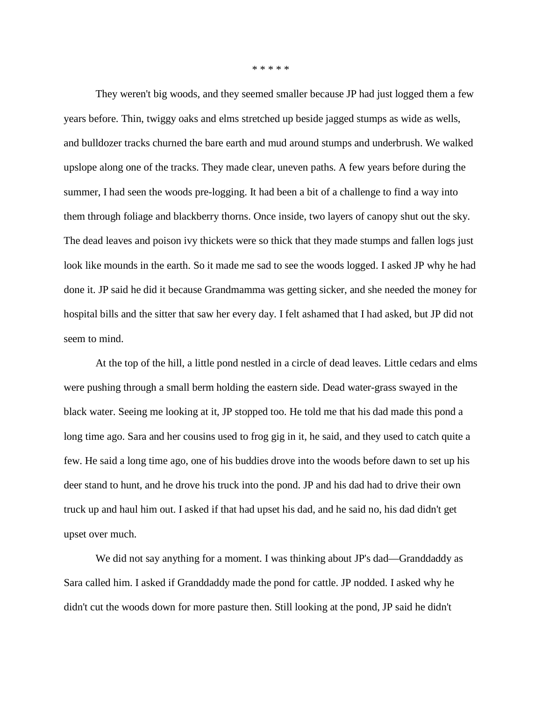\* \* \* \* \*

They weren't big woods, and they seemed smaller because JP had just logged them a few years before. Thin, twiggy oaks and elms stretched up beside jagged stumps as wide as wells, and bulldozer tracks churned the bare earth and mud around stumps and underbrush. We walked upslope along one of the tracks. They made clear, uneven paths. A few years before during the summer, I had seen the woods pre-logging. It had been a bit of a challenge to find a way into them through foliage and blackberry thorns. Once inside, two layers of canopy shut out the sky. The dead leaves and poison ivy thickets were so thick that they made stumps and fallen logs just look like mounds in the earth. So it made me sad to see the woods logged. I asked JP why he had done it. JP said he did it because Grandmamma was getting sicker, and she needed the money for hospital bills and the sitter that saw her every day. I felt ashamed that I had asked, but JP did not seem to mind.

At the top of the hill, a little pond nestled in a circle of dead leaves. Little cedars and elms were pushing through a small berm holding the eastern side. Dead water-grass swayed in the black water. Seeing me looking at it, JP stopped too. He told me that his dad made this pond a long time ago. Sara and her cousins used to frog gig in it, he said, and they used to catch quite a few. He said a long time ago, one of his buddies drove into the woods before dawn to set up his deer stand to hunt, and he drove his truck into the pond. JP and his dad had to drive their own truck up and haul him out. I asked if that had upset his dad, and he said no, his dad didn't get upset over much.

We did not say anything for a moment. I was thinking about JP's dad—Granddaddy as Sara called him. I asked if Granddaddy made the pond for cattle. JP nodded. I asked why he didn't cut the woods down for more pasture then. Still looking at the pond, JP said he didn't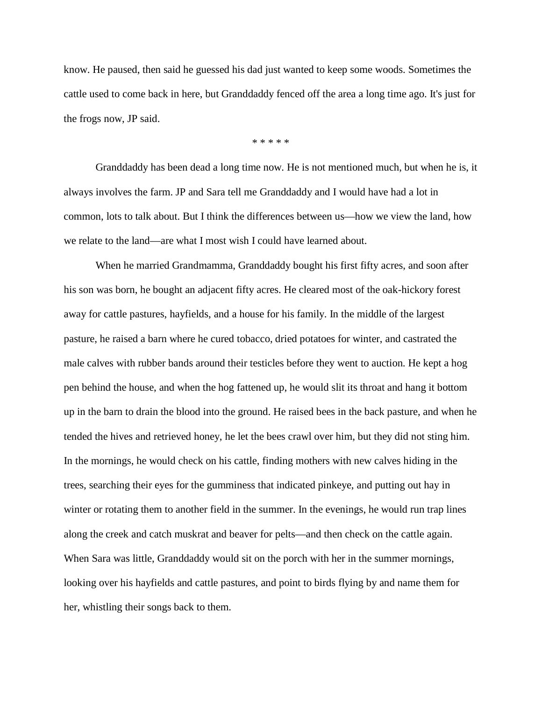know. He paused, then said he guessed his dad just wanted to keep some woods. Sometimes the cattle used to come back in here, but Granddaddy fenced off the area a long time ago. It's just for the frogs now, JP said.

\* \* \* \* \*

Granddaddy has been dead a long time now. He is not mentioned much, but when he is, it always involves the farm. JP and Sara tell me Granddaddy and I would have had a lot in common, lots to talk about. But I think the differences between us—how we view the land, how we relate to the land—are what I most wish I could have learned about.

When he married Grandmamma, Granddaddy bought his first fifty acres, and soon after his son was born, he bought an adjacent fifty acres. He cleared most of the oak-hickory forest away for cattle pastures, hayfields, and a house for his family. In the middle of the largest pasture, he raised a barn where he cured tobacco, dried potatoes for winter, and castrated the male calves with rubber bands around their testicles before they went to auction. He kept a hog pen behind the house, and when the hog fattened up, he would slit its throat and hang it bottom up in the barn to drain the blood into the ground. He raised bees in the back pasture, and when he tended the hives and retrieved honey, he let the bees crawl over him, but they did not sting him. In the mornings, he would check on his cattle, finding mothers with new calves hiding in the trees, searching their eyes for the gumminess that indicated pinkeye, and putting out hay in winter or rotating them to another field in the summer. In the evenings, he would run trap lines along the creek and catch muskrat and beaver for pelts—and then check on the cattle again. When Sara was little, Granddaddy would sit on the porch with her in the summer mornings, looking over his hayfields and cattle pastures, and point to birds flying by and name them for her, whistling their songs back to them.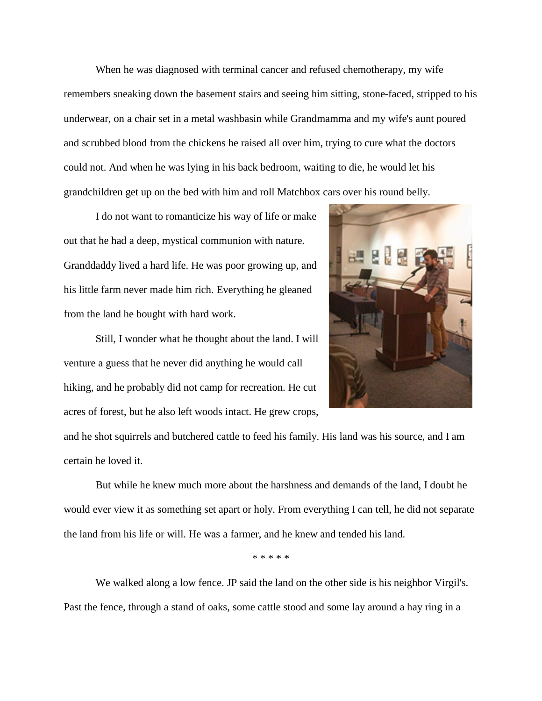When he was diagnosed with terminal cancer and refused chemotherapy, my wife remembers sneaking down the basement stairs and seeing him sitting, stone-faced, stripped to his underwear, on a chair set in a metal washbasin while Grandmamma and my wife's aunt poured and scrubbed blood from the chickens he raised all over him, trying to cure what the doctors could not. And when he was lying in his back bedroom, waiting to die, he would let his grandchildren get up on the bed with him and roll Matchbox cars over his round belly.

I do not want to romanticize his way of life or make out that he had a deep, mystical communion with nature. Granddaddy lived a hard life. He was poor growing up, and his little farm never made him rich. Everything he gleaned from the land he bought with hard work.

Still, I wonder what he thought about the land. I will venture a guess that he never did anything he would call hiking, and he probably did not camp for recreation. He cut acres of forest, but he also left woods intact. He grew crops,



and he shot squirrels and butchered cattle to feed his family. His land was his source, and I am certain he loved it.

But while he knew much more about the harshness and demands of the land, I doubt he would ever view it as something set apart or holy. From everything I can tell, he did not separate the land from his life or will. He was a farmer, and he knew and tended his land.

\* \* \* \* \*

We walked along a low fence. JP said the land on the other side is his neighbor Virgil's. Past the fence, through a stand of oaks, some cattle stood and some lay around a hay ring in a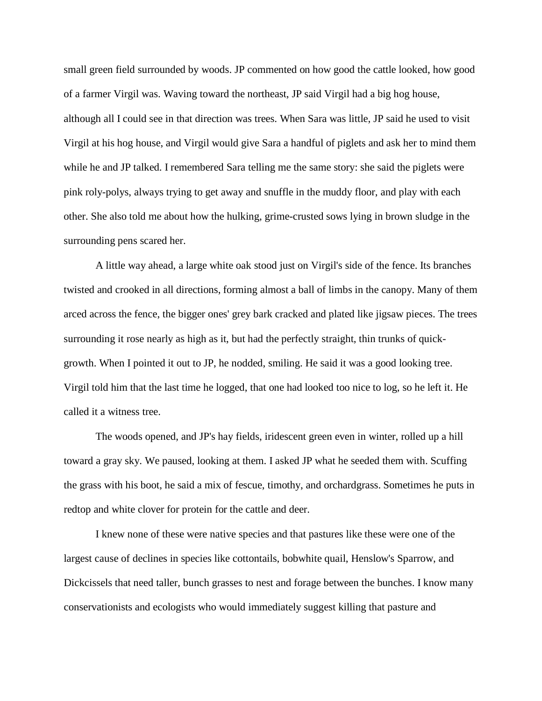small green field surrounded by woods. JP commented on how good the cattle looked, how good of a farmer Virgil was. Waving toward the northeast, JP said Virgil had a big hog house, although all I could see in that direction was trees. When Sara was little, JP said he used to visit Virgil at his hog house, and Virgil would give Sara a handful of piglets and ask her to mind them while he and JP talked. I remembered Sara telling me the same story: she said the piglets were pink roly-polys, always trying to get away and snuffle in the muddy floor, and play with each other. She also told me about how the hulking, grime-crusted sows lying in brown sludge in the surrounding pens scared her.

A little way ahead, a large white oak stood just on Virgil's side of the fence. Its branches twisted and crooked in all directions, forming almost a ball of limbs in the canopy. Many of them arced across the fence, the bigger ones' grey bark cracked and plated like jigsaw pieces. The trees surrounding it rose nearly as high as it, but had the perfectly straight, thin trunks of quickgrowth. When I pointed it out to JP, he nodded, smiling. He said it was a good looking tree. Virgil told him that the last time he logged, that one had looked too nice to log, so he left it. He called it a witness tree.

The woods opened, and JP's hay fields, iridescent green even in winter, rolled up a hill toward a gray sky. We paused, looking at them. I asked JP what he seeded them with. Scuffing the grass with his boot, he said a mix of fescue, timothy, and orchardgrass. Sometimes he puts in redtop and white clover for protein for the cattle and deer.

I knew none of these were native species and that pastures like these were one of the largest cause of declines in species like cottontails, bobwhite quail, Henslow's Sparrow, and Dickcissels that need taller, bunch grasses to nest and forage between the bunches. I know many conservationists and ecologists who would immediately suggest killing that pasture and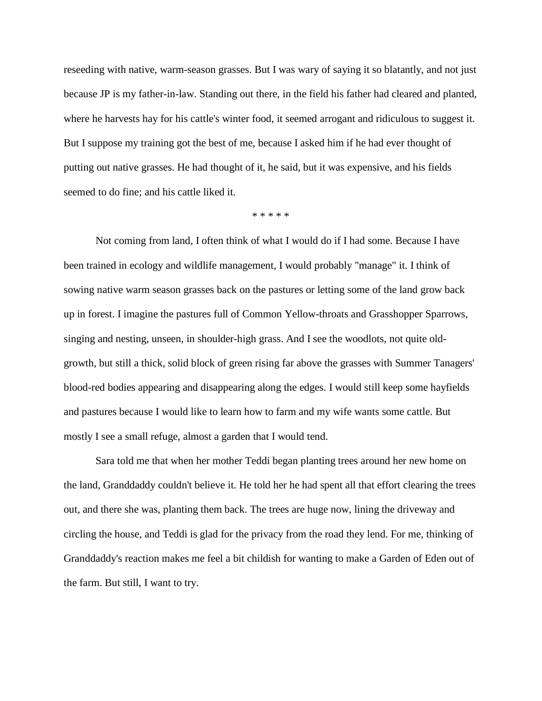reseeding with native, warm-season grasses. But I was wary of saying it so blatantly, and not just because JP is my father-in-law. Standing out there, in the field his father had cleared and planted, where he harvests hay for his cattle's winter food, it seemed arrogant and ridiculous to suggest it. But I suppose my training got the best of me, because I asked him if he had ever thought of putting out native grasses. He had thought of it, he said, but it was expensive, and his fields seemed to do fine; and his cattle liked it.

\* \* \* \* \*

Not coming from land, I often think of what I would do if I had some. Because I have been trained in ecology and wildlife management, I would probably "manage" it. I think of sowing native warm season grasses back on the pastures or letting some of the land grow back up in forest. I imagine the pastures full of Common Yellow-throats and Grasshopper Sparrows, singing and nesting, unseen, in shoulder-high grass. And I see the woodlots, not quite oldgrowth, but still a thick, solid block of green rising far above the grasses with Summer Tanagers' blood-red bodies appearing and disappearing along the edges. I would still keep some hayfields and pastures because I would like to learn how to farm and my wife wants some cattle. But mostly I see a small refuge, almost a garden that I would tend.

Sara told me that when her mother Teddi began planting trees around her new home on the land, Granddaddy couldn't believe it. He told her he had spent all that effort clearing the trees out, and there she was, planting them back. The trees are huge now, lining the driveway and circling the house, and Teddi is glad for the privacy from the road they lend. For me, thinking of Granddaddy's reaction makes me feel a bit childish for wanting to make a Garden of Eden out of the farm. But still, I want to try.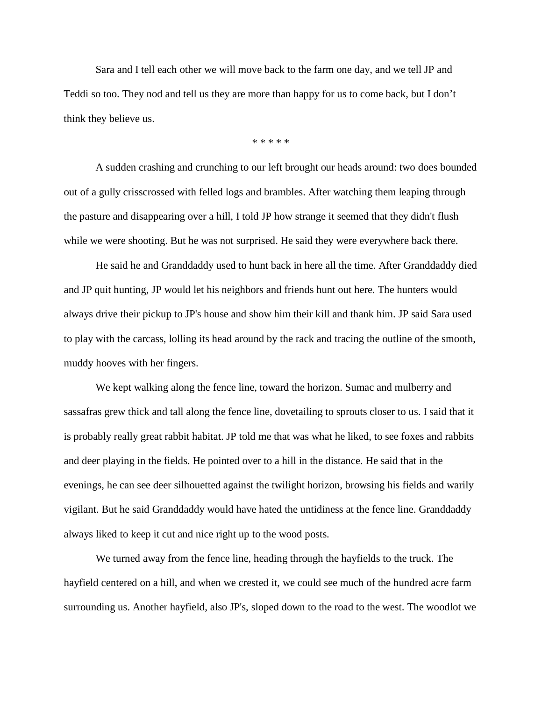Sara and I tell each other we will move back to the farm one day, and we tell JP and Teddi so too. They nod and tell us they are more than happy for us to come back, but I don't think they believe us.

\* \* \* \* \*

A sudden crashing and crunching to our left brought our heads around: two does bounded out of a gully crisscrossed with felled logs and brambles. After watching them leaping through the pasture and disappearing over a hill, I told JP how strange it seemed that they didn't flush while we were shooting. But he was not surprised. He said they were everywhere back there.

He said he and Granddaddy used to hunt back in here all the time. After Granddaddy died and JP quit hunting, JP would let his neighbors and friends hunt out here. The hunters would always drive their pickup to JP's house and show him their kill and thank him. JP said Sara used to play with the carcass, lolling its head around by the rack and tracing the outline of the smooth, muddy hooves with her fingers.

We kept walking along the fence line, toward the horizon. Sumac and mulberry and sassafras grew thick and tall along the fence line, dovetailing to sprouts closer to us. I said that it is probably really great rabbit habitat. JP told me that was what he liked, to see foxes and rabbits and deer playing in the fields. He pointed over to a hill in the distance. He said that in the evenings, he can see deer silhouetted against the twilight horizon, browsing his fields and warily vigilant. But he said Granddaddy would have hated the untidiness at the fence line. Granddaddy always liked to keep it cut and nice right up to the wood posts.

We turned away from the fence line, heading through the hayfields to the truck. The hayfield centered on a hill, and when we crested it, we could see much of the hundred acre farm surrounding us. Another hayfield, also JP's, sloped down to the road to the west. The woodlot we